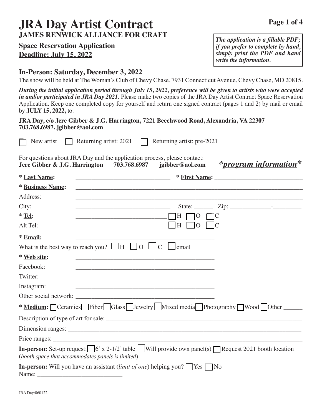# **JRA Day Artist Contract JAMES RENWICK ALLIANCE FOR CRAFT**

# **Space Reservation Application Deadline: July 15, 2022**

# **In-Person: Saturday, December 3, 2022**

The show will be held at The Woman's Club of Chevy Chase, 7931 Connecticut Avenue, Chevy Chase, MD 20815.

*During the initial application period through July 15, 2022, preference will be given to artists who were accepted in and/or participated in JRA Day 2021.* Please make two copies of the JRA Day Artist Contract Space Reservation Application. Keep one completed copy for yourself and return one signed contract (pages 1 and 2) by mail or email by **JULY 15, 2022,** to:

### **JRA Day, c/o Jere Gibber & J.G. Harrington, 7221 Beechwood Road, Alexandria, VA 22307 703.768.6987, jgibber@aol.com**

|                               | New artist Returning artist: $2021$ Returning artist: pre-2021                                                                                                                      |
|-------------------------------|-------------------------------------------------------------------------------------------------------------------------------------------------------------------------------------|
| Jere Gibber & J.G. Harrington | For questions about JRA Day and the application process, please contact:<br>*program information*<br>703.768.6987<br>jgibber@aol.com                                                |
| * Last Name:                  |                                                                                                                                                                                     |
| <b>* Business Name:</b>       | ,我们也不会有什么。""我们的人,我们也不会有什么?""我们的人,我们也不会有什么?""我们的人,我们也不会有什么?""我们的人,我们也不会有什么?""我们的人                                                                                                    |
| Address:                      | ,我们也不能在这里的时候,我们也不能在这里的时候,我们也不能会在这里的时候,我们也不能会在这里的时候,我们也不能会在这里的时候,我们也不能会在这里的时候,我们也不                                                                                                   |
| City:                         |                                                                                                                                                                                     |
| $*$ Tel:                      |                                                                                                                                                                                     |
| Alt Tel:                      | $\Box$ H $\Box$ 0 $\Box$<br><u> 1989 - Johann Barbara, martxa eta politikar</u>                                                                                                     |
| * Email:                      |                                                                                                                                                                                     |
|                               | What is the best way to reach you? $\Box$ H $\Box$ O $\Box$ C $\Box$ email                                                                                                          |
| * Web site:                   | <u> 1989 - Andrea Santa Alemania, amerikana amerikana amerikana amerikana amerikana amerikana amerikana amerikana</u>                                                               |
| Facebook:                     |                                                                                                                                                                                     |
| Twitter:                      |                                                                                                                                                                                     |
| Instagram:                    | <u> 2000 - Paris Paris II, martin amerikana amerikana di Indonesia. Perang perang perang perang perang perang per</u>                                                               |
|                               |                                                                                                                                                                                     |
|                               | * Medium: Ceramics Fiber Glass Jewelry Mixed media Photography Wood Other                                                                                                           |
|                               |                                                                                                                                                                                     |
|                               |                                                                                                                                                                                     |
|                               |                                                                                                                                                                                     |
|                               | <b>In-person:</b> Set-up request: $\Box$ 6' x 2-1/2' table $\Box$ Will provide own panel(s) $\Box$ Request 2021 booth location<br>(booth space that accommodates panels is limited) |
|                               | <b>In-person:</b> Will you have an assistant <i>(limit of one)</i> helping you?   Yes $\Box$ No                                                                                     |

*The application is a fillable PDF; if you prefer to complete by hand, simply print the PDF and hand write the information.*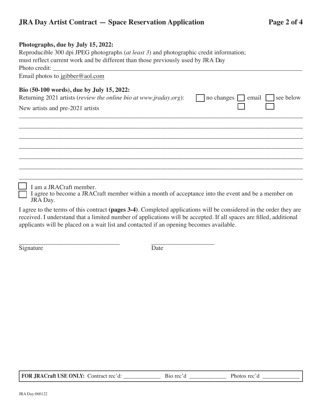## **JRA Day Artist Contract — Space Reservation Application Page 2 of 4**

### **Photographs, due by July 15, 2022:**

Reproducible 300 dpi JPEG photographs (*at least 3*) and photographic credit information; must reflect current work and be different than those previously used by JRA Day Photo credit: Email photos to jgibber@aol.com

### **Bio (50-100 words), due by July 15, 2022:**

Returning 2021 artists (*review the online bio at www.jraday.org*):  $\Box$  no changes  $\Box$  email  $\Box$  see below

New artists and pre-2021 artists

I am a JRACraft member.

I agree to become a JRACraft member within a month of acceptance into the event and be a member on JRA Day.

\_\_\_\_\_\_\_\_\_\_\_\_\_\_\_\_\_\_\_\_\_\_\_\_\_\_\_\_\_\_\_\_\_\_\_\_\_\_\_\_\_\_\_\_\_\_\_\_\_\_\_\_\_\_\_\_\_\_\_\_\_\_\_\_\_\_\_\_\_\_\_\_\_\_\_\_\_\_\_\_\_\_\_\_\_\_\_\_\_\_ \_\_\_\_\_\_\_\_\_\_\_\_\_\_\_\_\_\_\_\_\_\_\_\_\_\_\_\_\_\_\_\_\_\_\_\_\_\_\_\_\_\_\_\_\_\_\_\_\_\_\_\_\_\_\_\_\_\_\_\_\_\_\_\_\_\_\_\_\_\_\_\_\_\_\_\_\_\_\_\_\_\_\_\_\_\_\_\_\_\_ \_\_\_\_\_\_\_\_\_\_\_\_\_\_\_\_\_\_\_\_\_\_\_\_\_\_\_\_\_\_\_\_\_\_\_\_\_\_\_\_\_\_\_\_\_\_\_\_\_\_\_\_\_\_\_\_\_\_\_\_\_\_\_\_\_\_\_\_\_\_\_\_\_\_\_\_\_\_\_\_\_\_\_\_\_\_\_\_\_\_ \_\_\_\_\_\_\_\_\_\_\_\_\_\_\_\_\_\_\_\_\_\_\_\_\_\_\_\_\_\_\_\_\_\_\_\_\_\_\_\_\_\_\_\_\_\_\_\_\_\_\_\_\_\_\_\_\_\_\_\_\_\_\_\_\_\_\_\_\_\_\_\_\_\_\_\_\_\_\_\_\_\_\_\_\_\_\_\_\_\_ \_\_\_\_\_\_\_\_\_\_\_\_\_\_\_\_\_\_\_\_\_\_\_\_\_\_\_\_\_\_\_\_\_\_\_\_\_\_\_\_\_\_\_\_\_\_\_\_\_\_\_\_\_\_\_\_\_\_\_\_\_\_\_\_\_\_\_\_\_\_\_\_\_\_\_\_\_\_\_\_\_\_\_\_\_\_\_\_\_\_ \_\_\_\_\_\_\_\_\_\_\_\_\_\_\_\_\_\_\_\_\_\_\_\_\_\_\_\_\_\_\_\_\_\_\_\_\_\_\_\_\_\_\_\_\_\_\_\_\_\_\_\_\_\_\_\_\_\_\_\_\_\_\_\_\_\_\_\_\_\_\_\_\_\_\_\_\_\_\_\_\_\_\_\_\_\_\_\_\_\_ \_\_\_\_\_\_\_\_\_\_\_\_\_\_\_\_\_\_\_\_\_\_\_\_\_\_\_\_\_\_\_\_\_\_\_\_\_\_\_\_\_\_\_\_\_\_\_\_\_\_\_\_\_\_\_\_\_\_\_\_\_\_\_\_\_\_\_\_\_\_\_\_\_\_\_\_\_\_\_\_\_\_\_\_\_\_\_\_\_\_

I agree to the terms of this contract **(pages 3-4)**. Completed applications will be considered in the order they are received. I understand that a limited number of applications will be accepted. If all spaces are filled, additional applicants will be placed on a wait list and contacted if an opening becomes available.

\_\_\_\_\_\_\_\_\_\_\_\_\_\_\_\_\_\_\_\_\_\_\_\_\_\_\_\_\_\_\_\_ \_\_\_\_\_\_\_\_\_\_\_\_\_\_\_\_\_\_\_\_ Signature Date

 **FOR JRACraft USE ONLY:** Contract rec'd: \_\_\_\_\_\_\_\_\_\_\_\_\_ Bio rec'd \_\_\_\_\_\_\_\_\_\_\_\_\_ Photos rec'd \_\_\_\_\_\_\_\_\_\_\_\_\_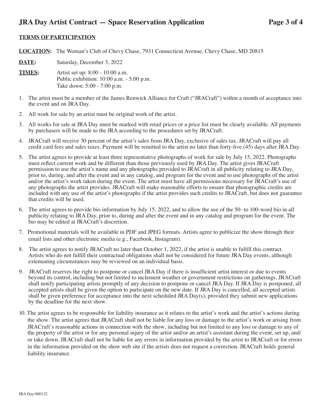### **JRA Day Artist Contract — Space Reservation Application Page 3 of 4**

### **TERMS OF PARTICIPATION**

**LOCATION:** The Woman's Club of Chevy Chase, 7931 Connecticut Avenue, Chevy Chase, MD 20815

**DATE:** Saturday, December 3, 2022

**TIMES:** Artist set up: 8:00 - 10:00 a.m. Public exhibition: 10:00 a.m. - 5:00 p.m. Take down: 5:00 - 7:00 p.m.

- 1. The artist must be a member of the James Renwick Alliance for Craft ("JRACraft") within a month of acceptance into the event and on JRA Day.
- 2. All work for sale by an artist must be original work of the artist.
- 3. All works for sale at JRA Day must be marked with retail prices or a price list must be clearly available. All payments by purchasers will be made to the JRA according to the procedures set by JRACraft.
- 4. JRACraft will receive 30 percent of the artist's sales from JRA Day, exclusive of sales tax. JRACraft will pay all credit card fees and sales taxes. Payment will be remitted to the artist no later than forty-five (45) days after JRA Day.
- 5. The artist agrees to provide at least three representative photographs of work for sale by July 15, 2022. Photographs must reflect current work and be different than those previously used by JRA Day. The artist gives JRACraft permission to use the artist's name and any photographs provided to JRACraft in all publicity relating to JRA Day, prior to, during, and after the event and in any catalog, and program for the event and to use photographs of the artist and/or the artist's work taken during the event. The artist must have all permissions necessary for JRACraft's use of any photographs the artist provides. JRACraft will make reasonable efforts to ensure that photographic credits are included with any use of the artist's photographs if the artist provides such credits to JRACraft, but does not guarantee that credits will be used.
- 6. The artist agrees to provide bio information by July 15, 2022, and to allow the use of the 50- to 100-word bio in all publicity relating to JRA Day, prior to, during and after the event and in any catalog and program for the event. The bio may be edited at JRACraft's discretion.
- 7. Promotional materials will be available in PDF and JPEG formats. Artists agree to publicize the show through their email lists and other electronic media (e.g., Facebook, Instagram).
- 8. The artist agrees to notify JRACraft no later than October 1, 2022, if the artist is unable to fulfill this contract. Artists who do not fulfill their contractual obligations shall not be considered for future JRA Day events, although extenuating circumstances may be reviewed on an individual basis.
- 9. JRACraft reserves the right to postpone or cancel JRA Day if there is insufficient artist interest or due to events beyond its control, including but not limited to inclement weather or government restrictions on gatherings. JRACraft shall notify participating artists promptly of any decision to postpone or cancel JRA Day. If JRA Day is postponed, all accepted artists shall be given the option to participate on the new date. If JRA Day is cancelled, all accepted artists shall be given preference for acceptance into the next scheduled JRA Day(s), provided they submit new applications by the deadline for the next show.
- 10. The artist agrees to be responsible for liability insurance as it relates to the artist's work and the artist's actions during the show. The artist agrees that JRACraft shall not be liable for any loss or damage to the artist's work or arising from JRACraft's reasonable actions in connection with the show, including but not limited to any loss or damage to any of the property of the artist or for any personal injury of the artist and/or an artist's assistant during the event, set up, and/ or take down. JRACraft shall not be liable for any errors in information provided by the artist to JRACraft or for errors in the information provided on the show web site if the artists does not request a correction. JRACraft holds general liability insurance.